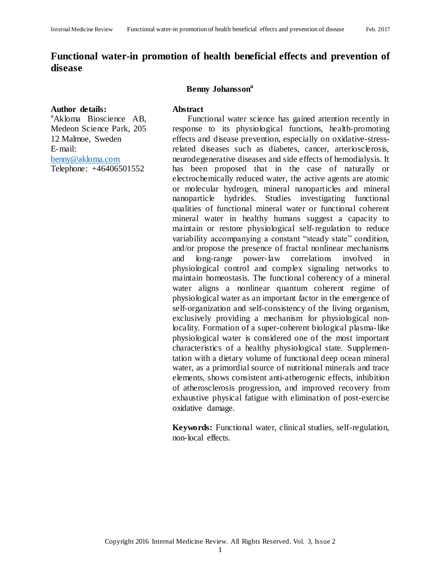# **Functional water-in promotion of health beneficial effects and prevention of disease**

#### **Author details:**

<sup>a</sup>Akloma Bioscience AB, Medeon Science Park, 205 12 Malmoe, Sweden E-mail: [benny@akloma.com](mailto:benny@akloma.com) Telephone: +46406501552

#### **Benny Johansson<sup>a</sup>**

#### **Abstract**

Functional water science has gained attention recently in response to its physiological functions, health-promoting effects and disease prevention, especially on oxidative-stressrelated diseases such as diabetes, cancer, arteriosclerosis, neurodegenerative diseases and side effects of hemodialysis. It has been proposed that in the case of naturally or electrochemically reduced water, the active agents are atomic or molecular hydrogen, mineral nanoparticles and mineral nanoparticle hydrides. Studies investigating functional qualities of functional mineral water or functional coherent mineral water in healthy humans suggest a capacity to maintain or restore physiological self-regulation to reduce variability accompanying a constant "steady state" condition, and/or propose the presence of fractal nonlinear mechanisms and long-range power-law correlations involved in physiological control and complex signaling networks to maintain homeostasis. The functional coherency of a mineral water aligns a nonlinear quantum coherent regime of physiological water as an important factor in the emergence of self-organization and self-consistency of the living organism, exclusively providing a mechanism for physiological nonlocality. Formation of a super-coherent biological plasma-like physiological water is considered one of the most important characteristics of a healthy physiological state. Supplementation with a dietary volume of functional deep ocean mineral water, as a primordial source of nutritional minerals and trace elements, shows consistent anti-atherogenic effects, inhibition of atherosclerosis progression, and improved recovery from exhaustive physical fatigue with elimination of post-exercise oxidative damage.

**Keywords:** Functional water, clinical studies, self-regulation, non-local effects.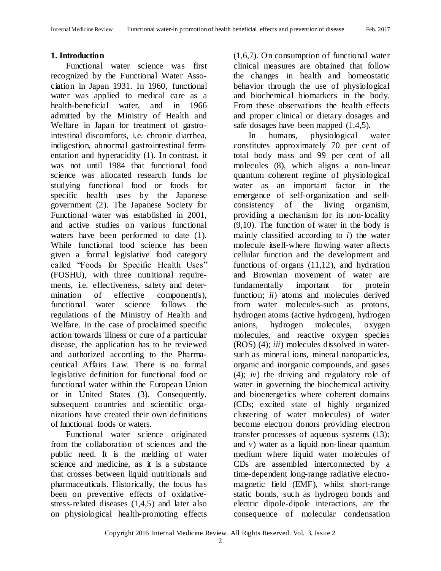# **1. Introduction**

Functional water science was first recognized by the Functional Water Association in Japan 1931. In 1960, functional water was applied to medical care as a health-beneficial water, and in 1966 admitted by the Ministry of Health and Welfare in Japan for treatment of gastrointestinal discomforts, i.e. chronic diarrhea, indigestion, abnormal gastrointestinal fermentation and hyperacidity (1). In contrast, it was not until 1984 that functional food science was allocated research funds for studying functional food or foods for specific health uses by the Japanese government (2). The Japanese Society for Functional water was established in 2001, and active studies on various functional waters have been performed to date (1). While functional food science has been given a formal legislative food category called "Foods for Specific Health Uses" (FOSHU), with three nutritional requirements, i.e. effectiveness, safety and determination of effective component(s), functional water science follows the regulations of the Ministry of Health and Welfare. In the case of proclaimed specific action towards illness or cure of a particular disease, the application has to be reviewed and authorized according to the Pharmaceutical Affairs Law. There is no formal legislative definition for functional food or functional water within the European Union or in United States (3). Consequently, subsequent countries and scientific organizations have created their own definitions of functional foods or waters.

Functional water science originated from the collaboration of sciences and the public need. It is the melding of water science and medicine, as it is a substance that crosses between liquid nutritionals and pharmaceuticals. Historically, the focus has been on preventive effects of oxidativestress-related diseases (1,4,5) and later also on physiological health-promoting effects

(1,6,7). On consumption of functional water clinical measures are obtained that follow the changes in health and homeostatic behavior through the use of physiological and biochemical biomarkers in the body. From these observations the health effects and proper clinical or dietary dosages and safe dosages have been mapped (1,4,5).

In humans, physiological water constitutes approximately 70 per cent of total body mass and 99 per cent of all molecules (8), which aligns a non-linear quantum coherent regime of physiological water as an important factor in the emergence of self-organization and selfconsistency of the living organism, providing a mechanism for its non-locality (9,10). The function of water in the body is mainly classified according to *i*) the water molecule itself-where flowing water affects cellular function and the development and functions of organs (11,12), and hydration and Brownian movement of water are fundamentally important for protein function; *ii*) atoms and molecules derived from water molecules-such as protons, hydrogen atoms (active hydrogen), hydrogen anions, hydrogen molecules, oxygen molecules, and reactive oxygen species (ROS) (4); *iii*) molecules dissolved in watersuch as mineral ions, mineral nanoparticles, organic and inorganic compounds, and gases (4); *iv*) the driving and regulatory role of water in governing the biochemical activity and bioenergetics where coherent domains (CDs; excited state of highly organized clustering of water molecules) of water become electron donors providing electron transfer processes of aqueous systems (13); and  $\nu$ ) water as a liquid non-linear quantum medium where liquid water molecules of CDs are assembled interconnected by a time-dependent long-range radiative electromagnetic field (EMF), whilst short-range static bonds, such as hydrogen bonds and electric dipole-dipole interactions, are the consequence of molecular condensation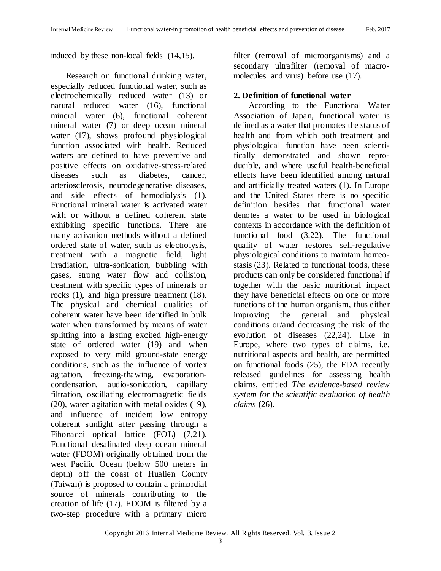induced by these non-local fields (14,15).

Research on functional drinking water, especially reduced functional water, such as electrochemically reduced water (13) or natural reduced water (16), functional mineral water (6), functional coherent mineral water (7) or deep ocean mineral water (17), shows profound physiological function associated with health. Reduced waters are defined to have preventive and positive effects on oxidative-stress-related diseases such as diabetes, cancer, arteriosclerosis, neurodegenerative diseases, and side effects of hemodialysis (1). Functional mineral water is activated water with or without a defined coherent state exhibiting specific functions. There are many activation methods without a defined ordered state of water, such as electrolysis, treatment with a magnetic field, light irradiation, ultra-sonication, bubbling with gases, strong water flow and collision, treatment with specific types of minerals or rocks (1), and high pressure treatment (18). The physical and chemical qualities of coherent water have been identified in bulk water when transformed by means of water splitting into a lasting excited high-energy state of ordered water (19) and when exposed to very mild ground-state energy conditions, such as the influence of vortex agitation, freezing-thawing, evaporationcondensation, audio-sonication, capillary filtration, oscillating electromagnetic fields (20), water agitation with metal oxides (19), and influence of incident low entropy coherent sunlight after passing through a Fibonacci optical lattice (FOL) (7,21). Functional desalinated deep ocean mineral water (FDOM) originally obtained from the west Pacific Ocean (below 500 meters in depth) off the coast of Hualien County (Taiwan) is proposed to contain a primordial source of minerals contributing to the creation of life (17). FDOM is filtered by a two-step procedure with a primary micro

filter (removal of microorganisms) and a secondary ultrafilter (removal of macromolecules and virus) before use (17).

#### **2. Definition of functional water**

According to the Functional Water Association of Japan, functional water is defined as a water that promotes the status of health and from which both treatment and physiological function have been scientifically demonstrated and shown reproducible, and where useful health-beneficial effects have been identified among natural and artificially treated waters (1). In Europe and the United States there is no specific definition besides that functional water denotes a water to be used in biological contexts in accordance with the definition of functional food (3,22). The functional quality of water restores self-regulative physiological conditions to maintain homeostasis (23). Related to functional foods, these products can only be considered functional if together with the basic nutritional impact they have beneficial effects on one or more functions of the human organism, thus either improving the general and physical conditions or/and decreasing the risk of the evolution of diseases (22,24). Like in Europe, where two types of claims, i.e. nutritional aspects and health, are permitted on functional foods (25), the FDA recently released guidelines for assessing health claims, entitled *The evidence-based review system for the scientific evaluation of health claims* (26).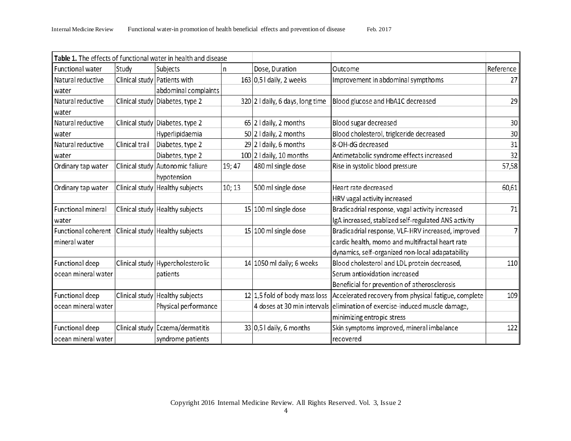|                     |                | Table 1. The effects of functional water in health and disease |        |                                  |                                                      |           |
|---------------------|----------------|----------------------------------------------------------------|--------|----------------------------------|------------------------------------------------------|-----------|
| Functional water    | Study          | Subjects                                                       | n      | Dose, Duration                   | Outcome                                              | Reference |
| Natural reductive   |                | Clinical study Patients with                                   |        | $163 0,51$ daily, 2 weeks        | Improvement in abdominal sympthoms                   | 27        |
| water               |                | abdominal complaints                                           |        |                                  |                                                      |           |
| Natural reductive   |                | Clinical study Diabetes, type 2                                |        | 320 2 I daily, 6 days, long time | Blood glucose and HbA1C decreased                    | 29        |
| l water             |                |                                                                |        |                                  |                                                      |           |
| Natural reductive   |                | Clinical study Diabetes, type 2                                |        | $65$ 2 I daily, 2 months         | Blood sugar decreased                                | 30        |
| water               |                | Hyperlipidaemia                                                |        | $50 2$ I daily, 2 months         | Blood cholesterol, triglceride decreased             | 30        |
| Natural reductive   | Clinical trail | Diabetes, type 2                                               |        | $29$ 2 I daily, 6 months         | 8-OH-dG decreased                                    | 31        |
| l water             |                | Diabetes, type 2                                               |        | $100$ 2 I daily, 10 months       | Antimetabolic syndrome effects increased             | 32        |
| Ordinary tap water  |                | Clinical study Autonomic faliure                               | 19; 47 | 480 ml single dose               | Rise in systolic blood pressure                      | 57,58     |
|                     |                | hypotension                                                    |        |                                  |                                                      |           |
| Ordinary tap water  |                | Clinical study   Healthy subjects                              | 10; 13 | 500 ml single dose               | Heart rate decreased                                 | 60,61     |
|                     |                |                                                                |        |                                  | HRV vagal activity increased                         |           |
| Functional mineral  |                | Clinical study   Healthy subjects                              |        | 15 100 ml single dose            | Bradicadrial response, vagal activity increased      | 71        |
| water               |                |                                                                |        |                                  | IgA increased, stablized self-regulated ANS activity |           |
| Functional coherent |                | Clinical study Healthy subjects                                |        | $15 100$ ml single dose          | Bradicadrial response, VLF-HRV increased, improved   | 7         |
| mineral water       |                |                                                                |        |                                  | cardic health, momo and multifractal heart rate      |           |
|                     |                |                                                                |        |                                  | dynamics, self-organized non-local adapatability     |           |
| Functional deep     |                | Clinical study Hypercholesterolic                              |        | 14 1050 ml daily; 6 weeks        | Blood cholesterol and LDL protein decreased,         | 110       |
| ocean mineral water |                | patients                                                       |        |                                  | Serum antioxidation increased                        |           |
|                     |                |                                                                |        |                                  | Beneficial for prevention of atherosclerosis         |           |
| Functional deep     |                | Clinical study Healthy subjects                                |        | $12 1,5$ fold of body mass loss  | Accelerated recovery from physical fatigue, complete | 109       |
| ocean mineral water |                | Physical performance                                           |        | 4 doses at 30 min intervals      | elimination of exercise-induced muscle damage,       |           |
|                     |                |                                                                |        |                                  | minimizing entropic stress                           |           |
| Functional deep     |                | Clinical study Eczema/dermatitis                               |        | $33 0,5 $ daily, 6 months        | Skin symptoms improved, mineral imbalance            | 122       |
| ocean mineral water |                | syndrome patients                                              |        |                                  | recovered                                            |           |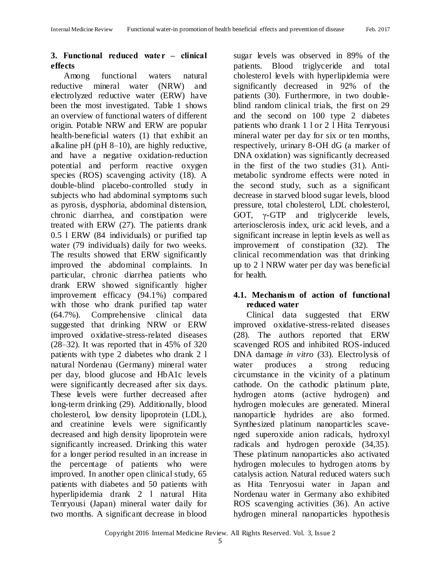## **3. Functional reduced water ‒ clinical effects**

Among functional waters natural reductive mineral water (NRW) and electrolyzed reductive water (ERW) have been the most investigated. Table 1 shows an overview of functional waters of different origin. Potable NRW and ERW are popular health-beneficial waters (1) that exhibit an alkaline pH (pH 8–10), are highly reductive, and have a negative oxidation-reduction potential and perform reactive oxygen species (ROS) scavenging activity (18). A double-blind placebo-controlled study in subjects who had abdominal symptoms such as pyrosis, dysphoria, abdominal distension, chronic diarrhea, and constipation were treated with ERW (27). The patients drank 0.5 l ERW (84 individuals) or purified tap water (79 individuals) daily for two weeks. The results showed that ERW significantly improved the abdominal complaints. In particular, chronic diarrhea patients who drank ERW showed significantly higher improvement efficacy (94.1%) compared with those who drank purified tap water (64.7%). Comprehensive clinical data suggested that drinking NRW or ERW improved oxidative-stress-related diseases (28–32). It was reported that in 45% of 320 patients with type 2 diabetes who drank 2 l natural Nordenau (Germany) mineral water per day, blood glucose and HbA1c levels were significantly decreased after six days. These levels were further decreased after long-term drinking (29). Additionally, blood cholesterol, low density lipoprotein (LDL), and creatinine levels were significantly decreased and high density lipoprotein were significantly increased. Drinking this water for a longer period resulted in an increase in the percentage of patients who were improved. In another open clinical study, 65 patients with diabetes and 50 patients with hyperlipidemia drank 2 l natural Hita Tenryousi (Japan) mineral water daily for two months. A significant decrease in blood

sugar levels was observed in 89% of the patients. Blood triglyceride and total cholesterol levels with hyperlipidemia were significantly decreased in 92% of the patients (30). Furthermore, in two doubleblind random clinical trials, the first on 29 and the second on 100 type 2 diabetes patients who drank 1 l or 2 l Hita Tenryousi mineral water per day for six or ten months, respectively, urinary 8-OH dG (a marker of DNA oxidation) was significantly decreased in the first of the two studies (31). Antimetabolic syndrome effects were noted in the second study, such as a significant decrease in starved blood sugar levels, blood pressure, total cholesterol, LDL cholesterol, GOT,  $\gamma$ -GTP and triglyceride levels, arteriosclerosis index, uric acid levels, and a significant increase in leptin levels as well as improvement of constipation (32). The clinical recommendation was that drinking up to 2 l NRW water per day was beneficial for health.

## **4.1. Mechanism of action of functional reduced water**

Clinical data suggested that ERW improved oxidative-stress-related diseases (28). The authors reported that ERW scavenged ROS and inhibited ROS-induced DNA damage *in vitro* (33). Electrolysis of water produces a strong reducing circumstance in the vicinity of a platinum cathode. On the cathodic platinum plate, hydrogen atoms (active hydrogen) and hydrogen molecules are generated. Mineral nanoparticle hydrides are also formed. Synthesized platinum nanoparticles scavenged superoxide anion radicals, hydroxyl radicals and hydrogen peroxide (34,35). These platinum nanoparticles also activated hydrogen molecules to hydrogen atoms by catalysis action. Natural reduced waters such as Hita Tenryosui water in Japan and Nordenau water in Germany also exhibited ROS scavenging activities (36). An active hydrogen mineral nanoparticles hypothesis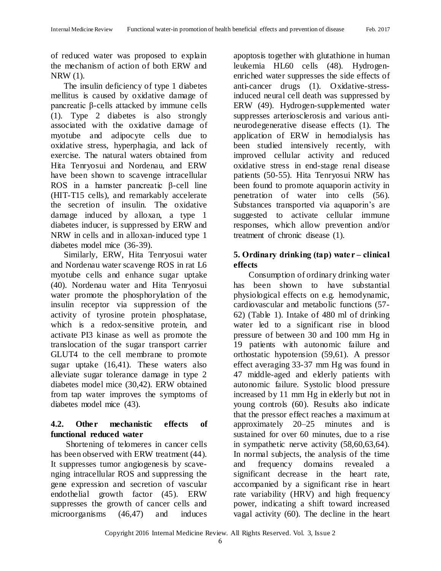of reduced water was proposed to explain the mechanism of action of both ERW and NRW (1).

The insulin deficiency of type 1 diabetes mellitus is caused by oxidative damage of pancreatic β-cells attacked by immune cells (1). Type 2 diabetes is also strongly associated with the oxidative damage of myotube and adipocyte cells due to oxidative stress, hyperphagia, and lack of exercise. The natural waters obtained from Hita Tenryosui and Nordenau, and ERW have been shown to scavenge intracellular ROS in a hamster pancreatic β-cell line (HIT-T15 cells), and remarkably accelerate the secretion of insulin. The oxidative damage induced by alloxan, a type 1 diabetes inducer, is suppressed by ERW and NRW in cells and in alloxan-induced type 1 diabetes model mice (36-39).

Similarly, ERW, Hita Tenryosui water and Nordenau water scavenge ROS in rat L6 myotube cells and enhance sugar uptake (40). Nordenau water and Hita Tenryosui water promote the phosphorylation of the insulin receptor via suppression of the activity of tyrosine protein phosphatase, which is a redox-sensitive protein, and activate PI3 kinase as well as promote the translocation of the sugar transport carrier GLUT4 to the cell membrane to promote sugar uptake (16,41). These waters also alleviate sugar tolerance damage in type 2 diabetes model mice (30,42). ERW obtained from tap water improves the symptoms of diabetes model mice (43).

# **4.2. Other mechanistic effects of functional reduced water**

Shortening of telomeres in cancer cells has been observed with ERW treatment (44). It suppresses tumor angiogenesis by scavenging intracellular ROS and suppressing the gene expression and secretion of vascular endothelial growth factor (45). ERW suppresses the growth of cancer cells and microorganisms (46,47) and induces apoptosis together with glutathione in human leukemia HL60 cells (48). Hydrogenenriched water suppresses the side effects of anti-cancer drugs (1). Oxidative-stressinduced neural cell death was suppressed by ERW (49). Hydrogen-supplemented water suppresses arteriosclerosis and various antineurodegenerative disease effects (1). The application of ERW in hemodialysis has been studied intensively recently, with improved cellular activity and reduced oxidative stress in end-stage renal disease patients (50-55). Hita Tenryosui NRW has been found to promote aquaporin activity in penetration of water into cells (56). Substances transported via aquaporin's are suggested to activate cellular immune responses, which allow prevention and/or treatment of chronic disease (1).

## **5. Ordinary drinking (tap) water ‒ clinical effects**

Consumption of ordinary drinking water has been shown to have substantial physiological effects on e.g. hemodynamic, cardiovascular and metabolic functions (57- 62) (Table 1). Intake of 480 ml of drinking water led to a significant rise in blood pressure of between 30 and 100 mm Hg in 19 patients with autonomic failure and orthostatic hypotension (59,61). A pressor effect averaging 33-37 mm Hg was found in 47 middle-aged and elderly patients with autonomic failure. Systolic blood pressure increased by 11 mm Hg in elderly but not in young controls (60). Results also indicate that the pressor effect reaches a maximum at approximately 20–25 minutes and is sustained for over 60 minutes, due to a rise in sympathetic nerve activity (58,60,63,64). In normal subjects, the analysis of the time and frequency domains revealed significant decrease in the heart rate, accompanied by a significant rise in heart rate variability (HRV) and high frequency power, indicating a shift toward increased vagal activity (60). The decline in the heart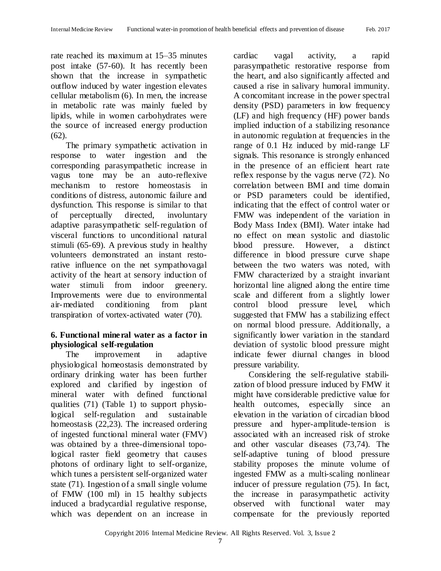rate reached its maximum at 15–35 minutes post intake (57-60). It has recently been shown that the increase in sympathetic outflow induced by water ingestion elevates cellular metabolism (6). In men, the increase in metabolic rate was mainly fueled by lipids, while in women carbohydrates were the source of increased energy production (62).

The primary sympathetic activation in response to water ingestion and the corresponding parasympathetic increase in vagus tone may be an auto-reflexive mechanism to restore homeostasis in conditions of distress, autonomic failure and dysfunction. This response is similar to that of perceptually directed, involuntary adaptive parasympathetic self-regulation of visceral functions to unconditional natural stimuli (65-69). A previous study in healthy volunteers demonstrated an instant restorative influence on the net sympathovagal activity of the heart at sensory induction of water stimuli from indoor greenery. Improvements were due to environmental air-mediated conditioning from plant transpiration of vortex-activated water (70).

#### **6. Functional mineral water as a factor in physiological self-regulation**

The improvement in adaptive physiological homeostasis demonstrated by ordinary drinking water has been further explored and clarified by ingestion of mineral water with defined functional qualities (71) (Table 1) to support physiological self-regulation and sustainable homeostasis (22,23). The increased ordering of ingested functional mineral water (FMV) was obtained by a three-dimensional topological raster field geometry that causes photons of ordinary light to self-organize, which tunes a persistent self-organized water state (71). Ingestion of a small single volume of FMW (100 ml) in 15 healthy subjects induced a bradycardial regulative response, which was dependent on an increase in

cardiac vagal activity, a rapid parasympathetic restorative response from the heart, and also significantly affected and caused a rise in salivary humoral immunity. A concomitant increase in the power spectral density (PSD) parameters in low frequency (LF) and high frequency (HF) power bands implied induction of a stabilizing resonance in autonomic regulation at frequencies in the range of 0.1 Hz induced by mid-range LF signals. This resonance is strongly enhanced in the presence of an efficient heart rate reflex response by the vagus nerve (72). No correlation between BMI and time domain or PSD parameters could be identified, indicating that the effect of control water or FMW was independent of the variation in Body Mass Index (BMI). Water intake had no effect on mean systolic and diastolic blood pressure. However, a distinct difference in blood pressure curve shape between the two waters was noted, with FMW characterized by a straight invariant horizontal line aligned along the entire time scale and different from a slightly lower control blood pressure level, which suggested that FMW has a stabilizing effect on normal blood pressure. Additionally, a significantly lower variation in the standard deviation of systolic blood pressure might indicate fewer diurnal changes in blood pressure variability.

Considering the self-regulative stabilization of blood pressure induced by FMW it might have considerable predictive value for health outcomes, especially since an elevation in the variation of circadian blood pressure and hyper-amplitude-tension is associated with an increased risk of stroke and other vascular diseases (73,74). The self-adaptive tuning of blood pressure stability proposes the minute volume of ingested FMW as a multi-scaling nonlinear inducer of pressure regulation (75). In fact, the increase in parasympathetic activity observed with functional water may compensate for the previously reported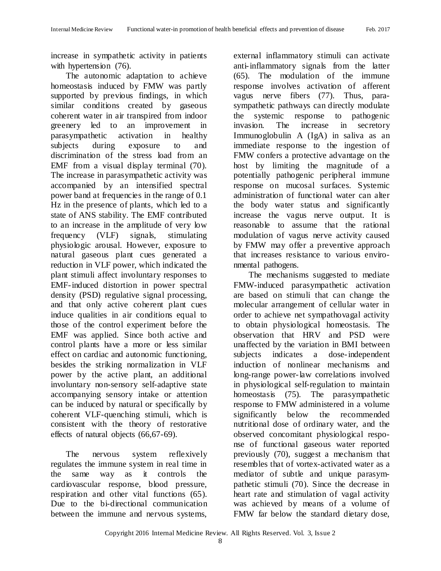increase in sympathetic activity in patients with hypertension  $(76)$ .

The autonomic adaptation to achieve homeostasis induced by FMW was partly supported by previous findings, in which similar conditions created by gaseous coherent water in air transpired from indoor greenery led to an improvement in parasympathetic activation in healthy subjects during exposure to and discrimination of the stress load from an EMF from a visual display terminal (70). The increase in parasympathetic activity was accompanied by an intensified spectral power band at frequencies in the range of 0.1 Hz in the presence of plants, which led to a state of ANS stability. The EMF contributed to an increase in the amplitude of very low frequency (VLF) signals, stimulating physiologic arousal. However, exposure to natural gaseous plant cues generated a reduction in VLF power, which indicated the plant stimuli affect involuntary responses to EMF-induced distortion in power spectral density (PSD) regulative signal processing, and that only active coherent plant cues induce qualities in air conditions equal to those of the control experiment before the EMF was applied. Since both active and control plants have a more or less similar effect on cardiac and autonomic functioning, besides the striking normalization in VLF power by the active plant, an additional involuntary non-sensory self-adaptive state accompanying sensory intake or attention can be induced by natural or specifically by coherent VLF-quenching stimuli, which is consistent with the theory of restorative effects of natural objects (66,67-69).

The nervous system reflexively regulates the immune system in real time in the same way as it controls the cardiovascular response, blood pressure, respiration and other vital functions (65). Due to the bi-directional communication between the immune and nervous systems,

external inflammatory stimuli can activate anti-inflammatory signals from the latter (65). The modulation of the immune response involves activation of afferent vagus nerve fibers (77). Thus, parasympathetic pathways can directly modulate the systemic response to pathogenic invasion. The increase in secretory Immunoglobulin A (IgA) in saliva as an immediate response to the ingestion of FMW confers a protective advantage on the host by limiting the magnitude of a potentially pathogenic peripheral immune response on mucosal surfaces. Systemic administration of functional water can alter the body water status and significantly increase the vagus nerve output. It is reasonable to assume that the rational modulation of vagus nerve activity caused by FMW may offer a preventive approach that increases resistance to various environmental pathogens.

The mechanisms suggested to mediate FMW-induced parasympathetic activation are based on stimuli that can change the molecular arrangement of cellular water in order to achieve net sympathovagal activity to obtain physiological homeostasis. The observation that HRV and PSD were unaffected by the variation in BMI between subjects indicates a dose-independent induction of nonlinear mechanisms and long-range power-law correlations involved in physiological self-regulation to maintain homeostasis (75). The parasympathetic response to FMW administered in a volume significantly below the recommended nutritional dose of ordinary water, and the observed concomitant physiological response of functional gaseous water reported previously (70), suggest a mechanism that resembles that of vortex-activated water as a mediator of subtle and unique parasympathetic stimuli (70). Since the decrease in heart rate and stimulation of vagal activity was achieved by means of a volume of FMW far below the standard dietary dose,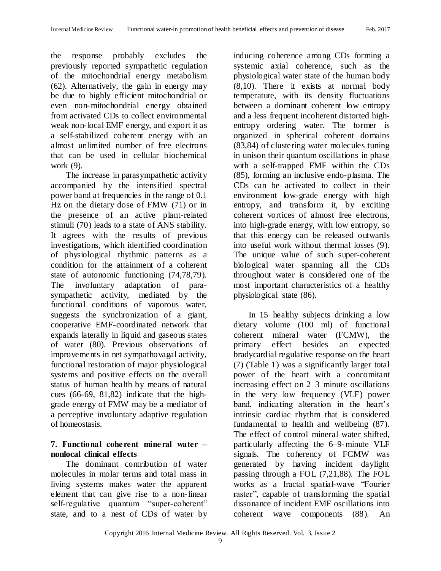the response probably excludes the previously reported sympathetic regulation of the mitochondrial energy metabolism (62). Alternatively, the gain in energy may be due to highly efficient mitochondrial or even non-mitochondrial energy obtained from activated CDs to collect environmental weak non-local EMF energy, and export it as a self-stabilized coherent energy with an almost unlimited number of free electrons that can be used in cellular biochemical work (9).

The increase in parasympathetic activity accompanied by the intensified spectral power band at frequencies in the range of 0.1 Hz on the dietary dose of FMW (71) or in the presence of an active plant-related stimuli (70) leads to a state of ANS stability. It agrees with the results of previous investigations, which identified coordination of physiological rhythmic patterns as a condition for the attainment of a coherent state of autonomic functioning (74,78,79). The involuntary adaptation of parasympathetic activity, mediated by the functional conditions of vaporous water, suggests the synchronization of a giant, cooperative EMF-coordinated network that expands laterally in liquid and gaseous states of water (80). Previous observations of improvements in net sympathovagal activity, functional restoration of major physiological systems and positive effects on the overall status of human health by means of natural cues (66-69, 81,82) indicate that the highgrade energy of FMW may be a mediator of a perceptive involuntary adaptive regulation of homeostasis.

#### **7. Functional coherent mineral water ‒ nonlocal clinical effects**

The dominant contribution of water molecules in molar terms and total mass in living systems makes water the apparent element that can give rise to a non-linear self-regulative quantum "super-coherent" state, and to a nest of CDs of water by inducing coherence among CDs forming a systemic axial coherence, such as the physiological water state of the human body (8,10). There it exists at normal body temperature, with its density fluctuations between a dominant coherent low entropy and a less frequent incoherent distorted highentropy ordering water. The former is organized in spherical coherent domains (83,84) of clustering water molecules tuning in unison their quantum oscillations in phase with a self-trapped EMF within the CDs (85), forming an inclusive endo-plasma. The CDs can be activated to collect in their environment low-grade energy with high entropy, and transform it, by exciting coherent vortices of almost free electrons, into high-grade energy, with low entropy, so that this energy can be released outwards into useful work without thermal losses (9). The unique value of such super-coherent biological water spanning all the CDs throughout water is considered one of the most important characteristics of a healthy physiological state (86).

In 15 healthy subjects drinking a low dietary volume (100 ml) of functional coherent mineral water (FCMW), the primary effect besides an expected bradycardial regulative response on the heart (7) (Table 1) was a significantly larger total power of the heart with a concomitant increasing effect on 2–3 minute oscillations in the very low frequency (VLF) power band, indicating alteration in the heart's intrinsic cardiac rhythm that is considered fundamental to health and wellbeing (87). The effect of control mineral water shifted, particularly affecting the 6–9-minute VLF signals. The coherency of FCMW was generated by having incident daylight passing through a FOL (7,21,88). The FOL works as a fractal spatial-wave "Fourier raster", capable of transforming the spatial dissonance of incident EMF oscillations into coherent wave components (88). An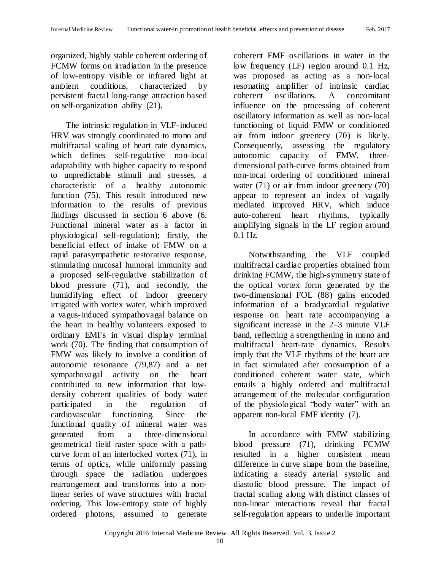organized, highly stable coherent ordering of FCMW forms on irradiation in the presence of low-entropy visible or infrared light at ambient conditions, characterized by persistent fractal long-range attraction based on self-organization ability (21).

The intrinsic regulation in VLF-induced HRV was strongly coordinated to mono and multifractal scaling of heart rate dynamics, which defines self-regulative non-local adaptability with higher capacity to respond to unpredictable stimuli and stresses, a characteristic of a healthy autonomic function (75). This result introduced new information to the results of previous findings discussed in section 6 above (6. Functional mineral water as a factor in physiological self-regulation); firstly, the beneficial effect of intake of FMW on a rapid parasympathetic restorative response, stimulating mucosal humoral immunity and a proposed self-regulative stabilization of blood pressure (71), and secondly, the humidifying effect of indoor greenery irrigated with vortex water, which improved a vagus-induced sympathovagal balance on the heart in healthy volunteers exposed to ordinary EMFs in visual display terminal work (70). The finding that consumption of FMW was likely to involve a condition of autonomic resonance (79,87) and a net sympathovagal activity on the heart contributed to new information that lowdensity coherent qualities of body water participated in the regulation of cardiovascular functioning. Since the functional quality of mineral water was generated from a three-dimensional geometrical field raster space with a pathcurve form of an interlocked vortex (71), in terms of optics, while uniformly passing through space the radiation undergoes rearrangement and transforms into a nonlinear series of wave structures with fractal ordering. This low-entropy state of highly ordered photons, assumed to generate

coherent EMF oscillations in water in the low frequency (LF) region around 0.1 Hz, was proposed as acting as a non-local resonating amplifier of intrinsic cardiac coherent oscillations. A concomitant influence on the processing of coherent oscillatory information as well as non-local functioning of liquid FMW or conditioned air from indoor greenery (70) is likely. Consequently, assessing the regulatory autonomic capacity of FMW, threedimensional path-curve forms obtained from non-local ordering of conditioned mineral water (71) or air from indoor greenery (70) appear to represent an index of vagally mediated improved HRV, which induce auto-coherent heart rhythms, typically amplifying signals in the LF region around 0.1 Hz.

Notwithstanding the VLF coupled multifractal cardiac properties obtained from drinking FCMW, the high-symmetry state of the optical vortex form generated by the two-dimensional FOL (88) gains encoded information of a bradycardial regulative response on heart rate accompanying a significant increase in the 2–3 minute VLF band, reflecting a strengthening in mono and multifractal heart-rate dynamics. Results imply that the VLF rhythms of the heart are in fact stimulated after consumption of a conditioned coherent water state, which entails a highly ordered and multifractal arrangement of the molecular configuration of the physiological "body water" with an apparent non-local EMF identity (7).

In accordance with FMW stabilizing blood pressure (71), drinking FCMW resulted in a higher consistent mean difference in curve shape from the baseline, indicating a steady arterial systolic and diastolic blood pressure. The impact of fractal scaling along with distinct classes of non-linear interactions reveal that fractal self-regulation appears to underlie important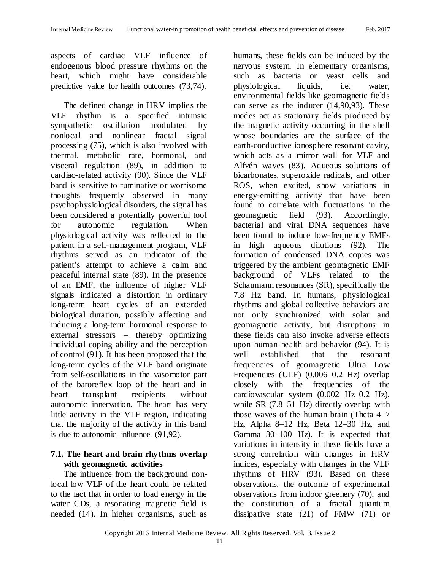aspects of cardiac VLF influence of endogenous blood pressure rhythms on the heart, which might have considerable predictive value for health outcomes (73,74).

The defined change in HRV implies the VLF rhythm is a specified intrinsic sympathetic oscillation modulated by nonlocal and nonlinear fractal signal processing (75), which is also involved with thermal, metabolic rate, hormonal, and visceral regulation (89), in addition to cardiac-related activity (90). Since the VLF band is sensitive to ruminative or worrisome thoughts frequently observed in many psychophysiological disorders, the signal has been considered a potentially powerful tool for autonomic regulation. When physiological activity was reflected to the patient in a self-management program, VLF rhythms served as an indicator of the patient's attempt to achieve a calm and peaceful internal state (89). In the presence of an EMF, the influence of higher VLF signals indicated a distortion in ordinary long-term heart cycles of an extended biological duration, possibly affecting and inducing a long-term hormonal response to external stressors – thereby optimizing individual coping ability and the perception of control (91). It has been proposed that the long-term cycles of the VLF band originate from self-oscillations in the vasomotor part of the baroreflex loop of the heart and in heart transplant recipients without autonomic innervation. The heart has very little activity in the VLF region, indicating that the majority of the activity in this band is due to autonomic influence (91,92).

## **7.1. The heart and brain rhythms overlap with geomagnetic activities**

The influence from the background nonlocal low VLF of the heart could be related to the fact that in order to load energy in the water CDs, a resonating magnetic field is needed (14). In higher organisms, such as

humans, these fields can be induced by the nervous system. In elementary organisms, such as bacteria or yeast cells and physiological liquids, i.e. water, environmental fields like geomagnetic fields can serve as the inducer (14,90,93). These modes act as stationary fields produced by the magnetic activity occurring in the shell whose boundaries are the surface of the earth-conductive ionosphere resonant cavity, which acts as a mirror wall for VLF and Alfvén waves (83). Aqueous solutions of bicarbonates, superoxide radicals, and other ROS, when excited, show variations in energy-emitting activity that have been found to correlate with fluctuations in the geomagnetic field (93). Accordingly, bacterial and viral DNA sequences have been found to induce low-frequency EMFs in high aqueous dilutions (92). The formation of condensed DNA copies was triggered by the ambient geomagnetic EMF background of VLFs related to the Schaumann resonances (SR), specifically the 7.8 Hz band. In humans, physiological rhythms and global collective behaviors are not only synchronized with solar and geomagnetic activity, but disruptions in these fields can also invoke adverse effects upon human health and behavior (94). It is well established that the resonant frequencies of geomagnetic Ultra Low Frequencies (ULF) (0.006–0.2 Hz) overlap closely with the frequencies of the cardiovascular system (0.002 Hz–0.2 Hz), while SR (7.8–51 Hz) directly overlap with those waves of the human brain (Theta 4–7 Hz, Alpha 8–12 Hz, Beta 12–30 Hz, and Gamma 30–100 Hz). It is expected that variations in intensity in these fields have a strong correlation with changes in HRV indices, especially with changes in the VLF rhythms of HRV (93). Based on these observations, the outcome of experimental observations from indoor greenery (70), and the constitution of a fractal quantum dissipative state (21) of FMW (71) or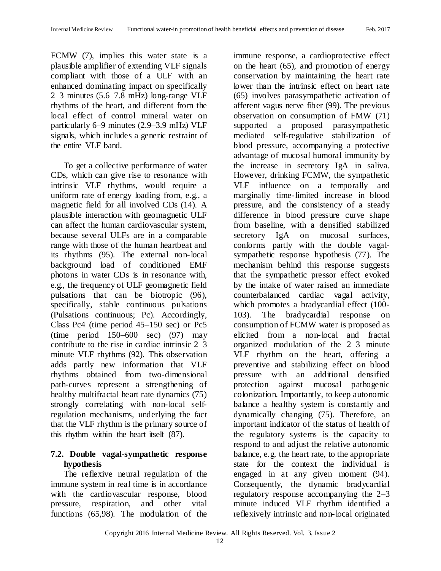FCMW (7), implies this water state is a plausible amplifier of extending VLF signals compliant with those of a ULF with an enhanced dominating impact on specifically 2–3 minutes (5.6–7.8 mHz) long-range VLF rhythms of the heart, and different from the local effect of control mineral water on particularly 6–9 minutes (2.9–3.9 mHz) VLF signals, which includes a generic restraint of the entire VLF band.

To get a collective performance of water CDs, which can give rise to resonance with intrinsic VLF rhythms, would require a uniform rate of energy loading from, e.g., a magnetic field for all involved CDs (14). A plausible interaction with geomagnetic ULF can affect the human cardiovascular system, because several ULFs are in a comparable range with those of the human heartbeat and its rhythms (95). The external non-local background load of conditioned EMF photons in water CDs is in resonance with, e.g., the frequency of ULF geomagnetic field pulsations that can be biotropic (96), specifically, stable continuous pulsations (Pulsations continuous; Pc). Accordingly, Class Pc4 (time period 45–150 sec) or Pc5 (time period 150–600 sec) (97) may contribute to the rise in cardiac intrinsic 2–3 minute VLF rhythms (92). This observation adds partly new information that VLF rhythms obtained from two-dimensional path-curves represent a strengthening of healthy multifractal heart rate dynamics (75) strongly correlating with non-local selfregulation mechanisms, underlying the fact that the VLF rhythm is the primary source of this rhythm within the heart itself (87).

# **7.2. Double vagal-sympathetic response hypothesis**

The reflexive neural regulation of the immune system in real time is in accordance with the cardiovascular response, blood pressure, respiration, and other vital functions (65,98). The modulation of the immune response, a cardioprotective effect on the heart (65), and promotion of energy conservation by maintaining the heart rate lower than the intrinsic effect on heart rate (65) involves parasympathetic activation of afferent vagus nerve fiber (99). The previous observation on consumption of FMW (71) supported a proposed parasympathetic mediated self-regulative stabilization of blood pressure, accompanying a protective advantage of mucosal humoral immunity by the increase in secretory IgA in saliva. However, drinking FCMW, the sympathetic VLF influence on a temporally and marginally time-limited increase in blood pressure, and the consistency of a steady difference in blood pressure curve shape from baseline, with a densified stabilized secretory IgA on mucosal surfaces, conforms partly with the double vagalsympathetic response hypothesis (77). The mechanism behind this response suggests that the sympathetic pressor effect evoked by the intake of water raised an immediate counterbalanced cardiac vagal activity, which promotes a bradycardial effect (100- 103). The bradycardial response on consumption of FCMW water is proposed as elicited from a non-local and fractal organized modulation of the 2–3 minute VLF rhythm on the heart, offering a preventive and stabilizing effect on blood pressure with an additional densified protection against mucosal pathogenic colonization. Importantly, to keep autonomic balance a healthy system is constantly and dynamically changing (75). Therefore, an important indicator of the status of health of the regulatory systems is the capacity to respond to and adjust the relative autonomic balance, e.g. the heart rate, to the appropriate state for the context the individual is engaged in at any given moment (94). Consequently, the dynamic bradycardial regulatory response accompanying the 2–3 minute induced VLF rhythm identified a reflexively intrinsic and non-local originated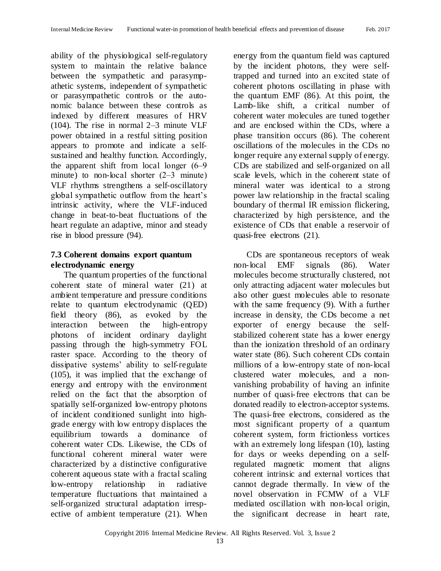ability of the physiological self-regulatory system to maintain the relative balance between the sympathetic and parasympathetic systems, independent of sympathetic or parasympathetic controls or the autonomic balance between these controls as indexed by different measures of HRV (104). The rise in normal 2–3 minute VLF power obtained in a restful sitting position appears to promote and indicate a selfsustained and healthy function. Accordingly, the apparent shift from local longer  $(6-9)$ minute) to non-local shorter  $(2-3$  minute) VLF rhythms strengthens a self-oscillatory global sympathetic outflow from the heart's intrinsic activity, where the VLF-induced change in beat-to-beat fluctuations of the heart regulate an adaptive, minor and steady rise in blood pressure (94).

#### **7.3 Coherent domains export quantum electrodynamic energy**

The quantum properties of the functional coherent state of mineral water (21) at ambient temperature and pressure conditions relate to quantum electrodynamic (QED) field theory (86), as evoked by the interaction between the high-entropy photons of incident ordinary daylight passing through the high-symmetry FOL raster space. According to the theory of dissipative systems' ability to self-regulate (105), it was implied that the exchange of energy and entropy with the environment relied on the fact that the absorption of spatially self-organized low-entropy photons of incident conditioned sunlight into highgrade energy with low entropy displaces the equilibrium towards a dominance of coherent water CDs. Likewise, the CDs of functional coherent mineral water were characterized by a distinctive configurative coherent aqueous state with a fractal scaling low-entropy relationship in radiative temperature fluctuations that maintained a self-organized structural adaptation irrespective of ambient temperature (21). When

energy from the quantum field was captured by the incident photons, they were selftrapped and turned into an excited state of coherent photons oscillating in phase with the quantum EMF (86). At this point, the Lamb-like shift, a critical number of coherent water molecules are tuned together and are enclosed within the CDs, where a phase transition occurs (86). The coherent oscillations of the molecules in the CDs no longer require any external supply of energy. CDs are stabilized and self-organized on all scale levels, which in the coherent state of mineral water was identical to a strong power law relationship in the fractal scaling boundary of thermal IR emission flickering, characterized by high persistence, and the existence of CDs that enable a reservoir of quasi-free electrons (21).

CDs are spontaneous receptors of weak non-local EMF signals (86). Water molecules become structurally clustered, not only attracting adjacent water molecules but also other guest molecules able to resonate with the same frequency (9). With a further increase in density, the CDs become a net exporter of energy because the selfstabilized coherent state has a lower energy than the ionization threshold of an ordinary water state (86). Such coherent CDs contain millions of a low-entropy state of non-local clustered water molecules, and a nonvanishing probability of having an infinite number of quasi-free electrons that can be donated readily to electron-acceptor systems. The quasi-free electrons, considered as the most significant property of a quantum coherent system, form frictionless vortices with an extremely long lifespan (10), lasting for days or weeks depending on a selfregulated magnetic moment that aligns coherent intrinsic and external vortices that cannot degrade thermally. In view of the novel observation in FCMW of a VLF mediated oscillation with non-local origin, the significant decrease in heart rate,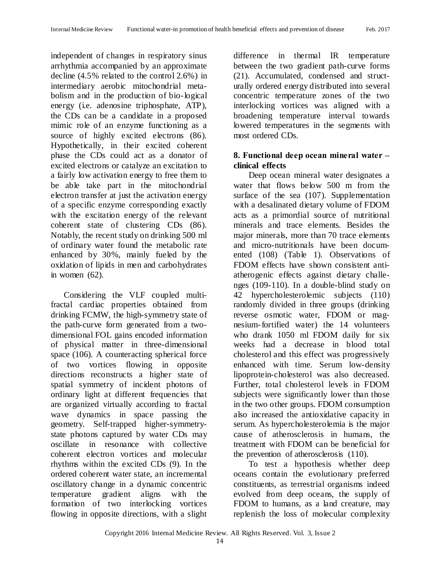independent of changes in respiratory sinus arrhythmia accompanied by an approximate decline (4.5% related to the control 2.6%) in intermediary aerobic mitochondrial metabolism and in the production of bio-logical energy (i.e. adenosine triphosphate, ATP), the CDs can be a candidate in a proposed mimic role of an enzyme functioning as a source of highly excited electrons (86). Hypothetically, in their excited coherent phase the CDs could act as a donator of excited electrons or catalyze an excitation to a fairly low activation energy to free them to be able take part in the mitochondrial electron transfer at just the activation energy of a specific enzyme corresponding exactly with the excitation energy of the relevant coherent state of clustering CDs (86). Notably, the recent study on drinking 500 ml of ordinary water found the metabolic rate enhanced by 30%, mainly fueled by the oxidation of lipids in men and carbohydrates in women (62).

Considering the VLF coupled multifractal cardiac properties obtained from drinking FCMW, the high-symmetry state of the path-curve form generated from a twodimensional FOL gains encoded information of physical matter in three-dimensional space (106). A counteracting spherical force of two vortices flowing in opposite directions reconstructs a higher state of spatial symmetry of incident photons of ordinary light at different frequencies that are organized virtually according to fractal wave dynamics in space passing the geometry. Self-trapped higher-symmetrystate photons captured by water CDs may oscillate in resonance with collective coherent electron vortices and molecular rhythms within the excited CDs (9). In the ordered coherent water state, an incremental oscillatory change in a dynamic concentric temperature gradient aligns with the formation of two interlocking vortices flowing in opposite directions, with a slight

difference in thermal IR temperature between the two gradient path-curve forms (21). Accumulated, condensed and structurally ordered energy distributed into several concentric temperature zones of the two interlocking vortices was aligned with a broadening temperature interval towards lowered temperatures in the segments with most ordered CDs.

## 8. Functional deep ocean mineral water – **clinical effects**

Deep ocean mineral water designates a water that flows below 500 m from the surface of the sea (107). Supplementation with a desalinated dietary volume of FDOM acts as a primordial source of nutritional minerals and trace elements. Besides the major minerals, more than 70 trace elements and micro-nutritionals have been documented (108) (Table 1). Observations of FDOM effects have shown consistent antiatherogenic effects against dietary challenges (109-110). In a double-blind study on 42 hypercholesterolemic subjects (110) randomly divided in three groups (drinking reverse osmotic water, FDOM or magnesium-fortified water) the 14 volunteers who drank 1050 ml FDOM daily for six weeks had a decrease in blood total cholesterol and this effect was progressively enhanced with time. Serum low-density lipoprotein-cholesterol was also decreased. Further, total cholesterol levels in FDOM subjects were significantly lower than those in the two other groups. FDOM consumption also increased the antioxidative capacity in serum. As hypercholesterolemia is the major cause of atherosclerosis in humans, the treatment with FDOM can be beneficial for the prevention of atherosclerosis (110).

To test a hypothesis whether deep oceans contain the evolutionary preferred constituents, as terrestrial organisms indeed evolved from deep oceans, the supply of FDOM to humans, as a land creature, may replenish the loss of molecular complexity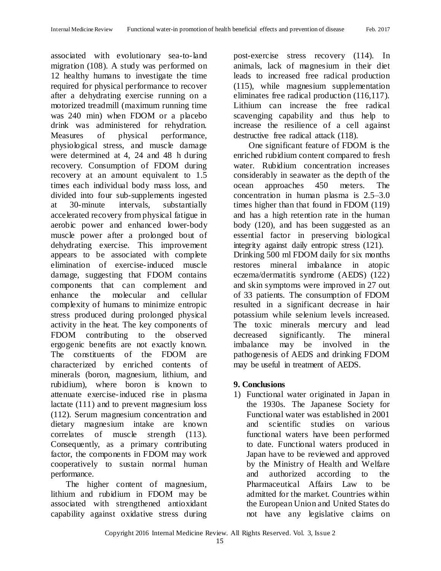associated with evolutionary sea-to-land migration (108). A study was performed on 12 healthy humans to investigate the time required for physical performance to recover after a dehydrating exercise running on a motorized treadmill (maximum running time was 240 min) when FDOM or a placebo drink was administered for rehydration. Measures of physical performance, physiological stress, and muscle damage were determined at 4, 24 and 48 h during recovery. Consumption of FDOM during recovery at an amount equivalent to 1.5 times each individual body mass loss, and divided into four sub-supplements ingested at 30-minute intervals, substantially accelerated recovery from physical fatigue in aerobic power and enhanced lower-body muscle power after a prolonged bout of dehydrating exercise. This improvement appears to be associated with complete elimination of exercise-induced muscle damage, suggesting that FDOM contains components that can complement and enhance the molecular and cellular complexity of humans to minimize entropic stress produced during prolonged physical activity in the heat. The key components of FDOM contributing to the observed ergogenic benefits are not exactly known. The constituents of the FDOM are characterized by enriched contents of minerals (boron, magnesium, lithium, and rubidium), where boron is known to attenuate exercise-induced rise in plasma lactate (111) and to prevent magnesium loss (112). Serum magnesium concentration and dietary magnesium intake are known correlates of muscle strength (113). Consequently, as a primary contributing factor, the components in FDOM may work cooperatively to sustain normal human performance.

The higher content of magnesium, lithium and rubidium in FDOM may be associated with strengthened antioxidant capability against oxidative stress during post-exercise stress recovery (114). In animals, lack of magnesium in their diet leads to increased free radical production (115), while magnesium supplementation eliminates free radical production (116,117). Lithium can increase the free radical scavenging capability and thus help to increase the resilience of a cell against destructive free radical attack (118).

One significant feature of FDOM is the enriched rubidium content compared to fresh water. Rubidium concentration increases considerably in seawater as the depth of the ocean approaches 450 meters. The concentration in human plasma is 2.5–3.0 times higher than that found in FDOM (119) and has a high retention rate in the human body (120), and has been suggested as an essential factor in preserving biological integrity against daily entropic stress (121). Drinking 500 ml FDOM daily for six months restores mineral imbalance in atopic eczema/dermatitis syndrome (AEDS) (122) and skin symptoms were improved in 27 out of 33 patients. The consumption of FDOM resulted in a significant decrease in hair potassium while selenium levels increased. The toxic minerals mercury and lead decreased significantly. The mineral

imbalance may be involved in the pathogenesis of AEDS and drinking FDOM may be useful in treatment of AEDS.

## **9. Conclusions**

1) Functional water originated in Japan in the 1930s. The Japanese Society for Functional water was established in 2001 and scientific studies on various functional waters have been performed to date. Functional waters produced in Japan have to be reviewed and approved by the Ministry of Health and Welfare and authorized according to the Pharmaceutical Affairs Law to be admitted for the market. Countries within the European Union and United States do not have any legislative claims on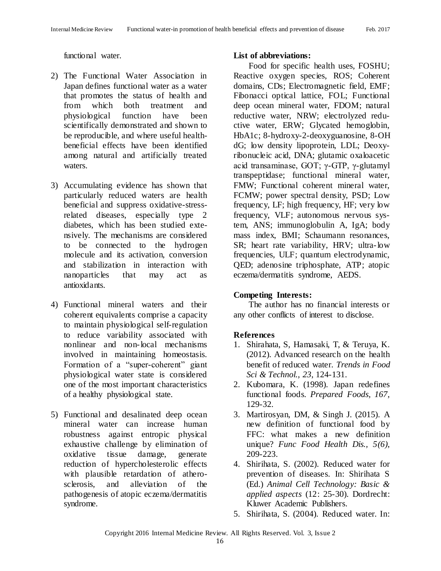functional water.

- 2) The Functional Water Association in Japan defines functional water as a water that promotes the status of health and from which both treatment and physiological function have been scientifically demonstrated and shown to be reproducible, and where useful healthbeneficial effects have been identified among natural and artificially treated waters.
- 3) Accumulating evidence has shown that particularly reduced waters are health beneficial and suppress oxidative-stressrelated diseases, especially type 2 diabetes, which has been studied extensively. The mechanisms are considered to be connected to the hydrogen molecule and its activation, conversion and stabilization in interaction with nanoparticles that may act as antioxidants.
- 4) Functional mineral waters and their coherent equivalents comprise a capacity to maintain physiological self-regulation to reduce variability associated with nonlinear and non-local mechanisms involved in maintaining homeostasis. Formation of a "super-coherent" giant physiological water state is considered one of the most important characteristics of a healthy physiological state.
- 5) Functional and desalinated deep ocean mineral water can increase human robustness against entropic physical exhaustive challenge by elimination of oxidative tissue damage, generate reduction of hypercholesterolic effects with plausible retardation of atherosclerosis, and alleviation of the pathogenesis of atopic eczema/dermatitis syndrome.

#### **List of abbreviations:**

Food for specific health uses, FOSHU; Reactive oxygen species, ROS; Coherent domains, CDs; Electromagnetic field, EMF; Fibonacci optical lattice, FOL; Functional deep ocean mineral water, FDOM; natural reductive water, NRW; electrolyzed reductive water, ERW; Glycated hemoglobin, HbA1c; 8-hydroxy-2-deoxyguanosine, 8-OH dG; low density lipoprotein, LDL; Deoxyribonucleic acid, DNA; glutamic oxaloacetic acid transaminase, GOT; γ-GTP, γ-glutamyl transpeptidase; functional mineral water, FMW; Functional coherent mineral water, FCMW; power spectral density, PSD; Low frequency, LF; high frequency, HF; very low frequency, VLF; autonomous nervous system, ANS; immunoglobulin A, IgA; body mass index, BMI; Schaumann resonances, SR; heart rate variability, HRV; ultra-low frequencies, ULF; quantum electrodynamic, QED; adenosine triphosphate, ATP; atopic eczema/dermatitis syndrome, AEDS.

#### **Competing Interests:**

The author has no financial interests or any other conflicts of interest to disclose.

## **References**

- 1. Shirahata, S, Hamasaki, T, & Teruya, K. (2012). Advanced research on the health benefit of reduced water. *Trends in Food Sci & Technol., 23*, 124-131.
- 2. Kubomara, K. (1998). Japan redefines functional foods*. Prepared Foods, 167*, 129-32.
- 3. Martirosyan, DM, & Singh J. (2015). A new definition of functional food by FFC: what makes a new definition unique? *Func Food Health Dis., 5(6)*, 209-223.
- 4. Shirihata, S. (2002). Reduced water for prevention of diseases. In: Shirihata S (Ed.) *Animal Cell Technology: Basic & applied aspects* (12: 25-30). Dordrecht: Kluwer Academic Publishers.
- 5. Shirihata, S. (2004). Reduced water. In: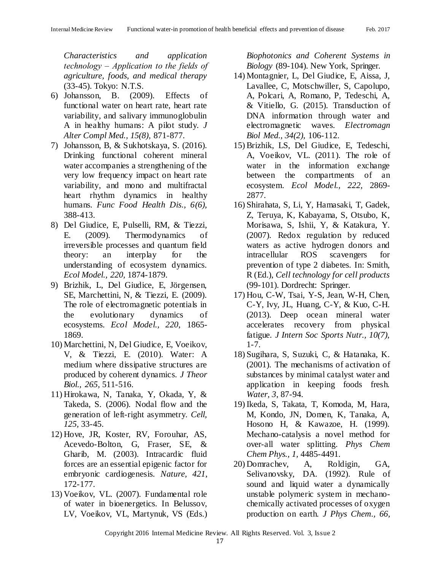*Characteristics and application technology ‒ Application to the fields of agriculture, foods, and medical therapy* (33-45). Tokyo: N.T.S.

- 6) Johansson, B. (2009). Effects of functional water on heart rate, heart rate variability, and salivary immunoglobulin A in healthy humans: A pilot study. *J Alter Compl Med., 15(8),* 871-877.
- 7) Johansson, B, & Sukhotskaya, S. (2016). Drinking functional coherent mineral water accompanies a strengthening of the very low frequency impact on heart rate variability, and mono and multifractal heart rhythm dynamics in healthy humans. *Func Food Health Dis., 6(6),* 388-413.
- 8) Del Giudice, E, Pulselli, RM, & Tiezzi, E. (2009). Thermodynamics of irreversible processes and quantum field theory: an interplay for the understanding of ecosystem dynamics. *Ecol Model., 220,* 1874-1879.
- 9) Brizhik, L, Del Giudice, E, Jörgensen, SE, Marchettini, N, & Tiezzi, E. (2009). The role of electromagnetic potentials in the evolutionary dynamics of ecosystems. *Ecol Model., 220*, 1865- 1869.
- 10) Marchettini, N, Del Giudice, E, Voeikov, V, & Tiezzi, E. (2010). Water: A medium where dissipative structures are produced by coherent dynamics. *J Theor Biol., 265,* 511-516.
- 11) Hirokawa, N, Tanaka, Y, Okada, Y, & Takeda, S. (2006). Nodal flow and the generation of left-right asymmetry. *Cell, 125,* 33-45.
- 12) Hove, JR, Koster, RV, Forouhar, AS, Acevedo-Bolton, G, Fraser, SE, & Gharib, M. (2003). Intracardic fluid forces are an essential epigenic factor for embryonic cardiogenesis. *Nature, 421*, 172-177.
- 13) Voeikov, VL. (2007). Fundamental role of water in bioenergetics. In Belussov, LV, Voeikov, VL, Martynuk, VS (Eds.)

*Biophotonics and Coherent Systems in Biology* (89-104). New York, Springer.

- 14) Montagnier, L, Del Giudice, E, Aissa, J, Lavallee, C, Motschwiller, S, Capolupo, A, Polcari, A, Romano, P, Tedeschi, A, & Vitiello, G. (2015). Transduction of DNA information through water and electromagnetic waves. *Electromagn Biol Med., 34(2),* 106-112.
- 15) Brizhik, LS, Del Giudice, E, Tedeschi, A, Voeikov, VL. (2011). The role of water in the information exchange between the compartments of an ecosystem. *Ecol Model., 222,* 2869- 2877.
- 16) Shirahata, S, Li, Y, Hamasaki, T, Gadek, Z, Teruya, K, Kabayama, S, Otsubo, K, Morisawa, S, Ishii, Y, & Katakura, Y. (2007). Redox regulation by reduced waters as active hydrogen donors and intracellular ROS scavengers for prevention of type 2 diabetes. In: Smith, R (Ed.), *Cell technology for cell products* (99-101). Dordrecht: Springer.
- 17) Hou, C-W, Tsai, Y-S, Jean, W-H, Chen, C-Y, Ivy, JL, Huang, C-Y, & Kuo, C-H. (2013). Deep ocean mineral water accelerates recovery from physical fatigue. *J Intern Soc Sports Nutr., 10(7),* 1-7.
- 18) Sugihara, S, Suzuki, C, & Hatanaka, K. (2001). The mechanisms of activation of substances by minimal catalyst water and application in keeping foods fresh. *Water, 3*, 87-94.
- 19) Ikeda, S, Takata, T, Komoda, M, Hara, M, Kondo, JN, Domen, K, Tanaka, A, Hosono H, & Kawazoe, H. (1999). Mechano-catalysis a novel method for over-all water splitting. *Phys Chem Chem Phys., 1,* 4485-4491.
- 20) Domrachev, A, Roldigin, GA, Selivanovsky, DA. (1992). Rule of sound and liquid water a dynamically unstable polymeric system in mechanochemically activated processes of oxygen production on earth. *J Phys Chem., 66,*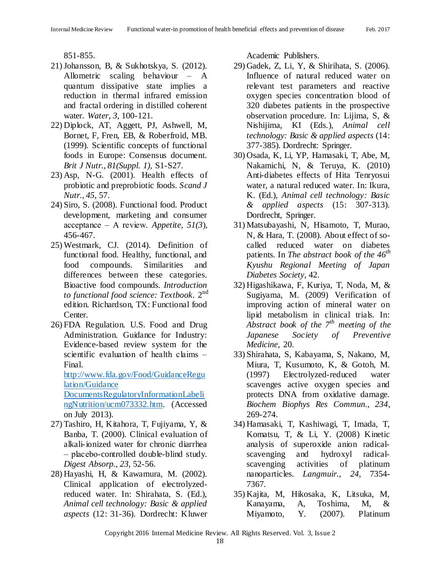851-855.

- 21)Johansson, B, & Sukhotskya, S. (2012). Allometric scaling behaviour – A quantum dissipative state implies a reduction in thermal infrared emission and fractal ordering in distilled coherent water. *Water, 3*, 100-121.
- 22) Diplock, AT, Aggett, PJ, Ashwell, M, Bornet, F, Fren, EB, & Roberfroid, MB. (1999). Scientific concepts of functional foods in Europe: Consensus document. *Brit J Nutr., 81(Suppl. 1),* S1-S27.
- 23) Asp, N-G. (2001). Health effects of probiotic and preprobiotic foods. *Scand J Nutr., 45*, 57.
- 24) Siro, S. (2008). Functional food. Product development, marketing and consumer acceptance ‒ A review. *Appetite, 51(3*), 456-467.
- 25) Westmark, CJ. (2014). Definition of functional food. Healthy, functional, and food compounds. Similarities and differences between these categories. Bioactive food compounds. *Introduction to functional food science: Textbook.* 2 nd edition. Richardson, TX: Functional food Center.
- 26) FDA Regulation. U.S. Food and Drug Administration. Guidance for Industry: Evidence-based review system for the scientific evaluation of health claims  $-$ Final.

[http://www.fda.gov/Food/GuidanceRegu](http://www.fda.gov/Food/GuidanceRegulation/Guidance%20DocumentsRegulatoryInformationLabelingNutrition/ucm073332.htm) [lation/Guidance](http://www.fda.gov/Food/GuidanceRegulation/Guidance%20DocumentsRegulatoryInformationLabelingNutrition/ucm073332.htm) 

[DocumentsRegulatoryInformationLabeli](http://www.fda.gov/Food/GuidanceRegulation/Guidance%20DocumentsRegulatoryInformationLabelingNutrition/ucm073332.htm) [ngNutrition/ucm073332.htm.](http://www.fda.gov/Food/GuidanceRegulation/Guidance%20DocumentsRegulatoryInformationLabelingNutrition/ucm073332.htm) (Accessed on July 2013).

- 27) Tashiro, H, Kitahora, T, Fujiyama, Y, & Banba, T. (2000). Clinical evaluation of alkali-ionized water for chronic diarrhea ‒ placebo-controlled double-blind study. *Digest Absorp., 23,* 52-56.
- 28) Hayashi, H, & Kawamura, M. (2002). Clinical application of electrolyzedreduced water. In: Shirahata, S. (Ed.), *Animal cell technology: Basic & applied aspects* (12: 31-36). Dordrecht: Kluwer

Academic Publishers.

- 29) Gadek, Z, Li, Y, & Shirihata, S. (2006). Influence of natural reduced water on relevant test parameters and reactive oxygen species concentration blood of 320 diabetes patients in the prospective observation procedure. In: Lijima, S, & Nishijima, KI (Eds.), *Animal cell technology: Basic & applied aspects* (14: 377-385). Dordrecht: Springer.
- 30) Osada, K, Li, YP, Hamasaki, T, Abe, M, Nakamichi, N, & Teruya, K. (2010) Anti-diabetes effects of Hita Tenryosui water, a natural reduced water. In: Ikura, K. (Ed.), *Animal cell technology: Basic & applied aspects* (15: 307-313). Dordrecht, Springer.
- 31) Matsubayashi, N, Hisamoto, T, Murao, N, & Hara, T. (2008). About effect of socalled reduced water on diabetes patients. In *The abstract book of the 46th Kyushu Regional Meeting of Japan Diabetes Society*, 42.
- 32) Higashikawa, F, Kuriya, T, Noda, M, & Sugiyama, M. (2009) Verification of improving action of mineral water on lipid metabolism in clinical trials. In: *Abstract book of the 7th meeting of the Japanese Society of Preventive Medicine*, 20.
- 33) Shirahata, S, Kabayama, S, Nakano, M, Miura, T, Kusumoto, K, & Gotoh, M. (1997) Electrolyzed-reduced water scavenges active oxygen species and protects DNA from oxidative damage. *Biochem Biophys Res Commun., 234*, 269-274.
- 34) Hamasaki, T, Kashiwagi, T, Imada, T, Komatsu, T, & Li, Y. (2008) Kinetic analysis of superoxide anion radicalscavenging and hydroxyl radicalscavenging activities of platinum nanoparticles. *Langmuir., 24,* 7354- 7367.
- 35) Kajita, M, Hikosaka, K, Litsuka, M, Kanayama, A, Toshima, M, & Miyamoto, Y. (2007). Platinum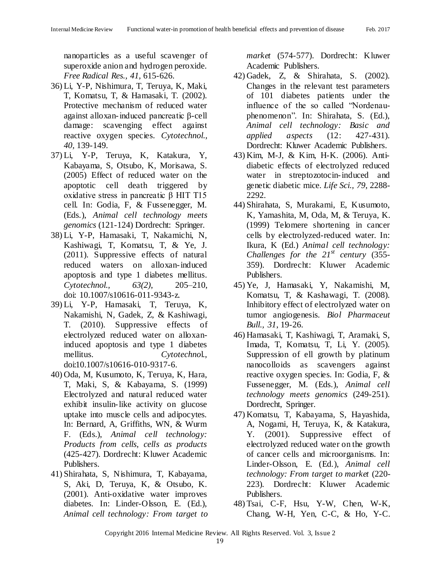nanoparticles as a useful scavenger of superoxide anion and hydrogen peroxide. *Free Radical Res., 41,* 615-626.

- 36) Li, Y-P, Nishimura, T, Teruya, K, Maki, T, Komatsu, T, & Hamasaki, T. (2002). Protective mechanism of reduced water against alloxan-induced pancreatic β-cell damage: scavenging effect against reactive oxygen species. *Cytotechnol., 40,* 139-149.
- 37) Li, Y-P, Teruya, K, Katakura, Y, Kabayama, S, Otsubo, K, Morisawa, S. (2005) Effect of reduced water on the apoptotic cell death triggered by oxidative stress in pancreatic β HIT T15 cell. In: Godia, F, & Fussenegger, M. (Eds.), *Animal cell technology meets genomics* (121-124) Dordrecht: Springer.
- 38) Li, Y-P, Hamasaki, T, Nakamichi, N, Kashiwagi, T, Komatsu, T, & Ye, J. (2011). Suppressive effects of natural reduced waters on alloxan-induced apoptosis and type 1 diabetes mellitus. *Cytotechnol., 63(2)*, 205–210, doi: 10.1007/s10616-011-9343-z.
- 39) Li, Y-P, Hamasaki, T, Teruya, K, Nakamishi, N, Gadek, Z, & Kashiwagi, T. (2010). Suppressive effects of electrolyzed reduced water on alloxaninduced apoptosis and type 1 diabetes mellitus. *Cytotechno*l., doi:10.1007/s10616-010-9317-6.
- 40) Oda, M, Kusumoto, K, Teruya, K, Hara, T, Maki, S, & Kabayama, S. (1999) Electrolyzed and natural reduced water exhibit insulin-like activity on glucose uptake into muscle cells and adipocytes. In: Bernard, A, Griffiths, WN, & Wurm F. (Eds.), *Animal cell technology: Products from cells, cells as products* (425-427). Dordrecht: Kluwer Academic Publishers.
- 41) Shirahata, S, Nishimura, T, Kabayama, S, Aki, D, Teruya, K, & Otsubo, K. (2001). Anti-oxidative water improves diabetes. In: Linder-Olsson, E. (Ed.), *Animal cell technology: From target to*

*market* (574-577). Dordrecht: Kluwer Academic Publishers.

- 42) Gadek, Z, & Shirahata, S. (2002). Changes in the relevant test parameters of 101 diabetes patients under the influence of the so called "Nordenauphenomenon". In: Shirahata, S. (Ed.), *Animal cell technology: Basic and applied aspects* (12: 427-431). Dordrecht: Kluwer Academic Publishers.
- 43) Kim, M-J, & Kim, H-K. (2006). Antidiabetic effects of electrolyzed reduced water in streptozotocin-induced and genetic diabetic mice. *Life Sci., 79*, 2288- 2292.
- 44) Shirahata, S, Murakami, E, Kusumoto, K, Yamashita, M, Oda, M, & Teruya, K. (1999) Telomere shortening in cancer cells by electrolyzed-reduced water. In: Ikura, K (Ed.) *Animal cell technology: Challenges for the 21st century* (355- 359). Dordrecht: Kluwer Academic Publishers.
- 45) Ye, J, Hamasaki, Y, Nakamishi, M, Komatsu, T, & Kashawagi, T. (2008). Inhibitory effect of electrolyzed water on tumor angiogenesis. *Biol Pharmaceut Bull., 31*, 19-26.
- 46) Hamasaki, T, Kashiwagi, T, Aramaki, S, Imada, T, Komatsu, T, Li, Y. (2005). Suppression of ell growth by platinum nanocolloids as scavengers against reactive oxygen species. In: Godia, F, & Fussenegger, M. (Eds.), *Animal cell technology meets genomics* (249-251). Dordrecht, Springer.
- 47) Komatsu, T, Kabayama, S, Hayashida, A, Nogami, H, Teruya, K, & Katakura, Y. (2001). Suppressive effect of electrolyzed reduced water on the growth of cancer cells and microorganisms. In: Linder-Olsson, E. (Ed.), *Animal cell technology: From target to market* (220- 223)*.* Dordrecht: Kluwer Academic Publishers.
- 48) Tsai, C-F, Hsu, Y-W, Chen, W-K, Chang, W-H, Yen, C-C, & Ho, Y-C.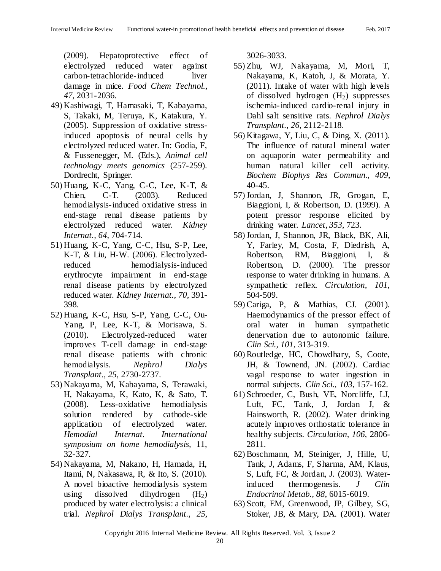(2009). Hepatoprotective effect of electrolyzed reduced water against carbon-tetrachloride-induced liver damage in mice. *Food Chem Technol., 47*, 2031-2036.

- 49) Kashiwagi, T, Hamasaki, T, Kabayama, S, Takaki, M, Teruya, K, Katakura, Y. (2005). Suppression of oxidative stressinduced apoptosis of neural cells by electrolyzed reduced water. In: Godia, F, & Fussenegger, M. (Eds.), *Animal cell technology meets genomics* (257-259). Dordrecht, Springer.
- 50) Huang, K-C, Yang, C-C, Lee, K-T, & Chien, C-T. (2003). Reduced hemodialysis-induced oxidative stress in end-stage renal disease patients by electrolyzed reduced water. *Kidney Internat., 64*, 704-714.
- 51) Huang, K-C, Yang, C-C, Hsu, S-P, Lee, K-T, & Liu, H-W. (2006). Electrolyzedreduced hemodialysis-induced erythrocyte impairment in end-stage renal disease patients by electrolyzed reduced water. *Kidney Internat., 70,* 391- 398.
- 52) Huang, K-C, Hsu, S-P, Yang, C-C, Ou-Yang, P, Lee, K-T, & Morisawa, S. (2010). Electrolyzed-reduced water improves T-cell damage in end-stage renal disease patients with chronic hemodialysis. *Nephrol Dialys Transplant., 25,* 2730-2737.
- 53) Nakayama, M, Kabayama, S, Terawaki, H, Nakayama, K, Kato, K, & Sato, T. (2008). Less-oxidative hemodialysis solution rendered by cathode-side application of electrolyzed water. *Hemodial Internat. International symposium on home hemodialysis,* 11, 32-327.
- 54) Nakayama, M, Nakano, H, Hamada, H, Itami, N, Nakasawa, R, & Ito, S. (2010). A novel bioactive hemodialysis system using dissolved dihydrogen  $(H_2)$ produced by water electrolysis: a clinical trial. *Nephrol Dialys Transplant., 25,*

3026-3033.

- 55) Zhu, WJ, Nakayama, M, Mori, T, Nakayama, K, Katoh, J, & Morata, Y. (2011). Intake of water with high levels of dissolved hydrogen  $(H<sub>2</sub>)$  suppresses ischemia-induced cardio-renal injury in Dahl salt sensitive rats. *Nephrol Dialys Transplant., 26*, 2112-2118.
- 56) Kitagawa, Y, Liu, C, & Ding, X. (2011). The influence of natural mineral water on aquaporin water permeability and human natural killer cell activity. *Biochem Biophys Res Commun., 409*, 40-45.
- 57)Jordan, J, Shannon, JR, Grogan, E, Biaggioni, I, & Robertson, D. (1999). A potent pressor response elicited by drinking water. *Lancet, 353*, 723.
- 58)Jordan, J, Shannon, JR, Black, BK, Ali, Y, Farley, M, Costa, F, Diedrish, A, Robertson, RM, Biaggioni, I, & Robertson, D. (2000). The pressor response to water drinking in humans. A sympathetic reflex. *Circulation, 101*, 504-509.
- 59) Cariga, P, & Mathias, CJ. (2001). Haemodynamics of the pressor effect of oral water in human sympathetic denervation due to autonomic failure. *Clin Sci., 101,* 313-319.
- 60) Routledge, HC, Chowdhary, S, Coote, JH, & Townend, JN. (2002). Cardiac vagal response to water ingestion in normal subjects. *Clin Sci., 103*, 157-162.
- 61) Schroeder, C, Bush, VE, Norcliffe, LJ, Luft, FC, Tank, J, Jordan J, & Hainsworth, R. (2002). Water drinking acutely improves orthostatic tolerance in healthy subjects. *Circulation, 106,* 2806- 2811.
- 62) Boschmann, M, Steiniger, J, Hille, U, Tank, J, Adams, F, Sharma, AM, Klaus, S, Luft, FC, & Jordan, J. (2003). Waterinduced thermogenesis. *J Clin Endocrinol Metab., 88*, 6015-6019.
- 63) Scott, EM, Greenwood, JP, Gilbey, SG, Stoker, JB, & Mary, DA. (2001). Water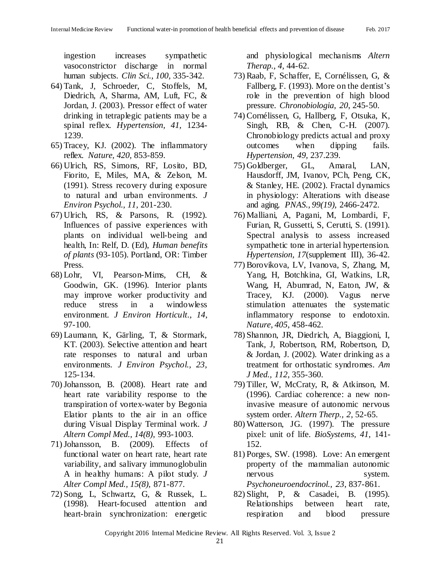ingestion increases sympathetic vasoconstrictor discharge in normal human subjects. *Clin Sci., 100,* 335-342.

- 64) Tank, J, Schroeder, C, Stoffels, M, Diedrich, A, Sharma, AM, Luft, FC, & Jordan, J. (2003). Pressor effect of water drinking in tetraplegic patients may be a spinal reflex. *Hypertension, 41,* 1234- 1239.
- 65) Tracey, KJ. (2002). The inflammatory reflex. *Nature, 420,* 853-859.
- 66) Ulrich, RS, Simons, RF, Losito, BD, Fiorito, E, Miles, MA, & Zelson, M. (1991). Stress recovery during exposure to natural and urban environments. *J Environ Psychol., 11,* 201-230.
- 67) Ulrich, RS, & Parsons, R. (1992). Influences of passive experiences with plants on individual well-being and health, In: Relf, D. (Ed), *Human benefits of plants* (93-105). Portland, OR: Timber Press.
- 68) Lohr, VI, Pearson-Mims, CH, & Goodwin, GK. (1996). Interior plants may improve worker productivity and reduce stress in a windowless environment. *J Environ Horticult., 14*, 97-100.
- 69) Laumann, K, Gärling, T, & Stormark, KT. (2003). Selective attention and heart rate responses to natural and urban environments. *J Environ Psychol., 23*, 125-134.
- 70)Johansson, B. (2008). Heart rate and heart rate variability response to the transpiration of vortex-water by Begonia Elatior plants to the air in an office during Visual Display Terminal work. *J Altern Compl Med., 14(8),* 993-1003.
- 71)Johansson, B. (2009). Effects of functional water on heart rate, heart rate variability, and salivary immunoglobulin A in healthy humans: A pilot study. *J Alter Compl Med., 15(8),* 871-877.
- 72) Song, L, Schwartz, G, & Russek, L. (1998). Heart-focused attention and heart-brain synchronization: energetic

and physiological mechanisms *Altern Therap., 4,* 44-62.

- 73) Raab, F, Schaffer, E, Cornélissen, G, & Fallberg, F. (1993). More on the dentist's role in the prevention of high blood pressure. *Chronobiologia, 20*, 245-50.
- 74) Cornélissen, G, Hallberg, F, Otsuka, K, Singh, RB, & Chen, C-H. (2007). Chronobiology predicts actual and proxy outcomes when dipping fails. *Hypertension, 49,* 237.239.
- 75) Goldberger, GL, Amaral, LAN, Hausdorff, JM, Ivanov, PCh, Peng, CK, & Stanley, HE. (2002). Fractal dynamics in physiology: Alterations with disease and aging. *PNAS., 99(19),* 2466-2472.
- 76) Malliani, A, Pagani, M, Lombardi, F, Furian, R, Gussetti, S, Cerutti, S. (1991). Spectral analysis to assess increased sympathetic tone in arterial hypertension. *Hypertension, 17*(supplement III), 36-42.
- 77) Borovikova, LV, Ivanova, S, Zhang, M, Yang, H, Botchkina, GI, Watkins, LR, Wang, H, Abumrad, N, Eaton, JW, & Tracey, KJ. (2000). Vagus nerve stimulation attenuates the systematic inflammatory response to endotoxin. *Nature, 405*, 458-462.
- 78) Shannon, JR, Diedrich, A, Biaggioni, I, Tank, J, Robertson, RM, Robertson, D, & Jordan, J. (2002). Water drinking as a treatment for orthostatic syndromes. *Am J Med., 112*, 355-360.
- 79) Tiller, W, McCraty, R, & Atkinson, M. (1996). Cardiac coherence: a new noninvasive measure of autonomic nervous system order. *Altern Therp., 2*, 52-65.
- 80) Watterson, JG. (1997). The pressure pixel: unit of life. *BioSystems, 41,* 141- 152.
- 81) Porges, SW. (1998). Love: An emergent property of the mammalian autonomic nervous system. *Psychoneuroendocrinol., 23*, 837-861.
- 82) Slight, P, & Casadei, B. (1995). Relationships between heart rate, respiration and blood pressure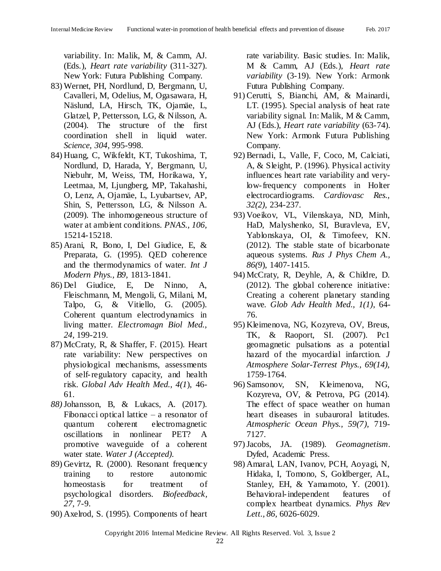variability. In: Malik, M, & Camm, AJ. (Eds.), *Heart rate variability* (311-327). New York: Futura Publishing Company.

- 83) Wernet, PH, Nordlund, D, Bergmann, U, Cavalleri, M, Odelius, M, Ogasawara, H, Näslund, LA, Hirsch, TK, Ojamäe, L, Glatzel, P, Pettersson, LG, & Nilsson, A. (2004). The structure of the first coordination shell in liquid water. *Science, 304*, 995-998.
- 84) Huang, C, Wikfeldt, KT, Tukoshima, T, Nordlund, D, Harada, Y, Bergmann, U, Niebuhr, M, Weiss, TM, Horikawa, Y, Leetmaa, M, Ljungberg, MP, Takahashi, O, Lenz, A, Ojamäe, L, Lyubartsev, AP, Shin, S, Pettersson, LG, & Nilsson A. (2009). The inhomogeneous structure of water at ambient conditions. *PNAS., 106,* 15214-15218.
- 85) Arani, R, Bono, I, Del Giudice, E, & Preparata, G. (1995). QED coherence and the thermodynamics of water. *Int J Modern Phys., B9,* 1813-1841.
- 86) Del Giudice, E, De Ninno, A, Fleischmann, M, Mengoli, G, Milani, M, Talpo, G, & Vitiello, G. (2005). Coherent quantum electrodynamics in living matter. *Electromagn Biol Med., 24,* 199-219.
- 87) McCraty, R, & Shaffer, F. (2015). Heart rate variability: New perspectives on physiological mechanisms, assessments of self-regulatory capacity, and health risk. *Global Adv Health Med., 4(1*), 46- 61.
- *88)*Johansson, B, & Lukacs, A. (2017). Fibonacci optical lattice – a resonator of quantum coherent electromagnetic oscillations in nonlinear PET? A promotive waveguide of a coherent water state. *Water J (Accepted).*
- 89) Gevirtz, R. (2000). Resonant frequency training to restore autonomic homeostasis for treatment of psychological disorders. *Biofeedback, 27*, 7-9.
- 90) Axelrod, S. (1995). Components of heart

rate variability. Basic studies. In: Malik, M & Camm, AJ (Eds.), *Heart rate variability* (3-19). New York: Armonk Futura Publishing Company.

- 91) Cerutti, S, Bianchi, AM, & Mainardi, LT. (1995). Special analysis of heat rate variability signal. In: Malik, M & Camm, AJ (Eds.), *Heart rate variability* (63-74). New York: Armonk Futura Publishing Company.
- 92) Bernadi, L, Valle, F, Coco, M, Calciati, A, & Sleight, P. (1996). Physical activity influences heart rate variability and verylow-frequency components in Holter electrocardiograms. *Cardiovasc Res., 32(2),* 234-237.
- 93) Voeikov, VL, Vilenskaya, ND, Minh, HaD, Malyshenko, SI, Buravleva, EV, Yablonskaya, OI, & Timofeev, KN. (2012). The stable state of bicarbonate aqueous systems. *Rus J Phys Chem A., 86(9*), 1407-1415.
- 94) McCraty, R, Deyhle, A, & Childre, D. (2012). The global coherence initiative: Creating a coherent planetary standing wave*. Glob Adv Health Med., 1(1)*, 64- 76.
- 95) Kleimenova, NG, Kozyreva, OV, Breus, TK, & Raoport, SI. (2007). Pc1 geomagnetic pulsations as a potential hazard of the myocardial infarction. *J Atmosphere Solar-Terrest Phys., 69(14),* 1759-1764.
- 96) Samsonov, SN, Kleimenova, NG, Kozyreva, OV, & Petrova, PG (2014). The effect of space weather on human heart diseases in subauroral latitudes. *Atmospheric Ocean Phys., 59(7),* 719- 7127.
- 97)Jacobs, JA. (1989). *Geomagnetism*. Dyfed, Academic Press.
- 98) Amaral, LAN, Ivanov, PCH, Aoyagi, N, Hidaka, I, Tomono, S, Goldberger, AL, Stanley, EH, & Yamamoto, Y. (2001). Behavioral-independent features of complex heartbeat dynamics. *Phys Rev Lett., 86,* 6026-6029.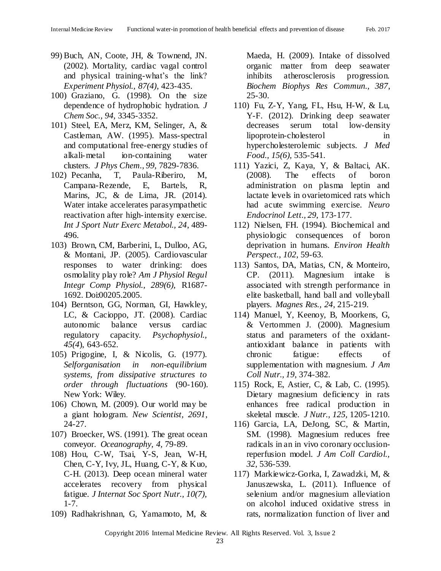- 99) Buch, AN, Coote, JH, & Townend, JN. (2002). Mortality, cardiac vagal control and physical training-what's the link? *Experiment Physiol., 87(4)*, 423-435.
- 100) Graziano, G. (1998). On the size dependence of hydrophobic hydration. *J Chem Soc., 94,* 3345-3352.
- 101) Steel, EA, Merz, KM, Selinger, A, & Castleman, AW. (1995). Mass-spectral and computational free-energy studies of alkali-metal ion-containing water clusters. *J Phys Chem., 99,* 7829-7836.
- 102) Pecanha, T, Paula-Riberiro, M, Campana-Rezende, E, Bartels, R, Marins, JC, & de Lima, JR. (2014). Water intake accelerates parasympathetic reactivation after high-intensity exercise. *Int J Sport Nutr Exerc Metabol., 24*, 489- 496.
- 103) Brown, CM, Barberini, L, Dulloo, AG, & Montani, JP. (2005). Cardiovascular responses to water drinking: does osmolality play role? *Am J Physiol Regul Integr Comp Physiol., 289(6),* R1687- 1692. Doi:00205.2005.
- 104) Berntson, GG, Norman, GI, Hawkley, LC, & Cacioppo, JT. (2008). Cardiac autonomic balance versus cardiac regulatory capacity. *Psychophysiol., 45(4*), 643-652.
- 105) Prigogine, I, & Nicolis, G. (1977). *Selforganisation in non-equilibrium systems, from dissipative structures to order through fluctuations* (90-160). New York: Wiley.
- 106) Chown, M. (2009). Our world may be a giant hologram. *New Scientist, 2691*, 24-27.
- 107) Broecker, WS. (1991). The great ocean conveyor. *Oceanography, 4,* 79-89.
- 108) Hou, C-W, Tsai, Y-S, Jean, W-H, Chen, C-Y, Ivy, JL, Huang, C-Y, & Kuo, C-H. (2013). Deep ocean mineral water accelerates recovery from physical fatigue. *J Internat Soc Sport Nutr., 10(7),* 1-7.
- 109) Radhakrishnan, G, Yamamoto, M, &

Maeda, H. (2009). Intake of dissolved organic matter from deep seawater inhibits atherosclerosis progression. *Biochem Biophys Res Commun., 387*, 25-30.

- 110) Fu, Z-Y, Yang, FL, Hsu, H-W, & Lu, Y-F. (2012). Drinking deep seawater decreases serum total low-density lipoprotein-cholesterol in hypercholesterolemic subjects. *J Med Food., 15(6),* 535-541.
- 111) Yazici, Z, Kaya, Y, & Baltaci, AK. (2008). The effects of boron administration on plasma leptin and lactate levels in ovarietomiced rats which had acute swimming exercise. *Neuro Endocrinol Lett., 29*, 173-177.
- 112) Nielsen, FH. (1994). Biochemical and physiologic consequences of boron deprivation in humans. *Environ Health Perspect., 102*, 59-63.
- 113) Santos, DA, Matias, CN, & Monteiro, CP. (2011). Magnesium intake is associated with strength performance in elite basketball, hand ball and volleyball players. *Magnes Res., 24*, 215-219.
- 114) Manuel, Y, Keenoy, B, Moorkens, G, & Vertommen J. (2000). Magnesium status and parameters of the oxidantantioxidant balance in patients with chronic fatigue: effects of supplementation with magnesium. *J Am Coll Nutr., 19*, 374-382.
- 115) Rock, E, Astier, C, & Lab, C. (1995). Dietary magnesium deficiency in rats enhances free radical production in skeletal muscle. *J Nutr., 125,* 1205-1210.
- 116) Garcia, LA, DeJong, SC, & Martin, SM. (1998). Magnesium reduces free radicals in an in vivo coronary occlusionreperfusion model. *J Am Coll Cardiol., 32*, 536-539.
- 117) Markiewicz-Gorka, I, Zawadzki, M, & Januszewska, L. (2011). Influence of selenium and/or magnesium alleviation on alcohol induced oxidative stress in rats, normalization function of liver and